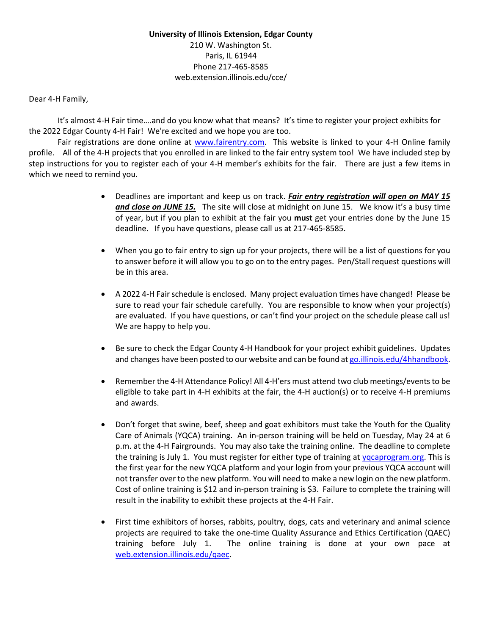Dear 4-H Family,

It's almost 4-H Fair time….and do you know what that means? It's time to register your project exhibits for the 2022 Edgar County 4-H Fair! We're excited and we hope you are too.

Fair registrations are done online at [www.fairentry.com.](http://www.fairentry.com/) This website is linked to your 4-H Online family profile. All of the 4-H projects that you enrolled in are linked to the fair entry system too! We have included step by step instructions for you to register each of your 4-H member's exhibits for the fair. There are just a few items in which we need to remind you.

- Deadlines are important and keep us on track. *Fair entry registration will open on MAY 15 and close on JUNE 15.* The site will close at midnight on June 15. We know it's a busy time of year, but if you plan to exhibit at the fair you **must** get your entries done by the June 15 deadline. If you have questions, please call us at 217-465-8585.
- When you go to fair entry to sign up for your projects, there will be a list of questions for you to answer before it will allow you to go on to the entry pages. Pen/Stall request questions will be in this area.
- A 2022 4-H Fair schedule is enclosed. Many project evaluation times have changed! Please be sure to read your fair schedule carefully. You are responsible to know when your project(s) are evaluated. If you have questions, or can't find your project on the schedule please call us! We are happy to help you.
- Be sure to check the Edgar County 4-H Handbook for your project exhibit guidelines. Updates and changes have been posted to our website and can be found a[t go.illinois.edu/4hhandbook.](file://ad.uillinois.edu/aces/uie/Unit20/Edgar/4-H/4-H%20FAIR%202019/Fair%20Entry/go.illinois.edu/4hhandbook)
- Remember the 4-H Attendance Policy! All 4-H'ers must attend two club meetings/events to be eligible to take part in 4-H exhibits at the fair, the 4-H auction(s) or to receive 4-H premiums and awards.
- Don't forget that swine, beef, sheep and goat exhibitors must take the Youth for the Quality Care of Animals (YQCA) training. An in-person training will be held on Tuesday, May 24 at 6 p.m. at the 4-H Fairgrounds. You may also take the training online. The deadline to complete the training is July 1. You must register for either type of training at [yqcaprogram.org.](file://ad.uillinois.edu/aces/uie/Unit20/Edgar/4-H/4-H%20Fair%202021/Fair%20Entry/yqcaprogram.org) This is the first year for the new YQCA platform and your login from your previous YQCA account will not transfer over to the new platform. You will need to make a new login on the new platform. Cost of online training is \$12 and in-person training is \$3. Failure to complete the training will result in the inability to exhibit these projects at the 4-H Fair.
- First time exhibitors of horses, rabbits, poultry, dogs, cats and veterinary and animal science projects are required to take the one-time Quality Assurance and Ethics Certification (QAEC) training before July 1. The online training is done at your own pace at [web.extension.illinois.edu/qaec.](file://ad.uillinois.edu/aces/uie/Unit20/Edgar/4-H/4-H%20Fair%202021/Fair%20Entry/web.extension.illinois.edu/qaec)